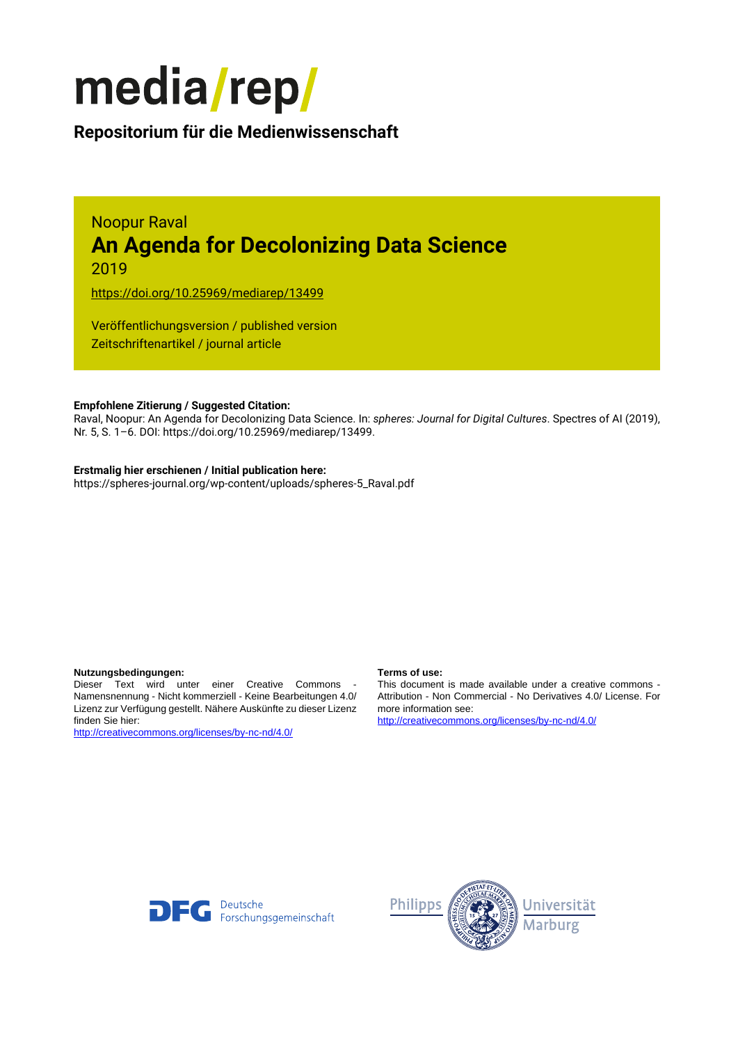

# **Repositorium für die [Medienwissenschaft](https://mediarep.org)**

## Noopur Raval **An Agenda for Decolonizing Data Science** 2019

<https://doi.org/10.25969/mediarep/13499>

Veröffentlichungsversion / published version Zeitschriftenartikel / journal article

### **Empfohlene Zitierung / Suggested Citation:**

Raval, Noopur: An Agenda for Decolonizing Data Science. In: *spheres: Journal for Digital Cultures*. Spectres of AI (2019), Nr. 5, S. 1–6. DOI: https://doi.org/10.25969/mediarep/13499.

#### **Erstmalig hier erschienen / Initial publication here:**

https://spheres-journal.org/wp-content/uploads/spheres-5\_Raval.pdf

#### **Nutzungsbedingungen: Terms of use:**

Dieser Text wird unter einer Creative Commons - Namensnennung - Nicht kommerziell - Keine Bearbeitungen 4.0/ Lizenz zur Verfügung gestellt. Nähere Auskünfte zu dieser Lizenz finden Sie hier:

<http://creativecommons.org/licenses/by-nc-nd/4.0/>

This document is made available under a creative commons - Attribution - Non Commercial - No Derivatives 4.0/ License. For more information see:

<http://creativecommons.org/licenses/by-nc-nd/4.0/>



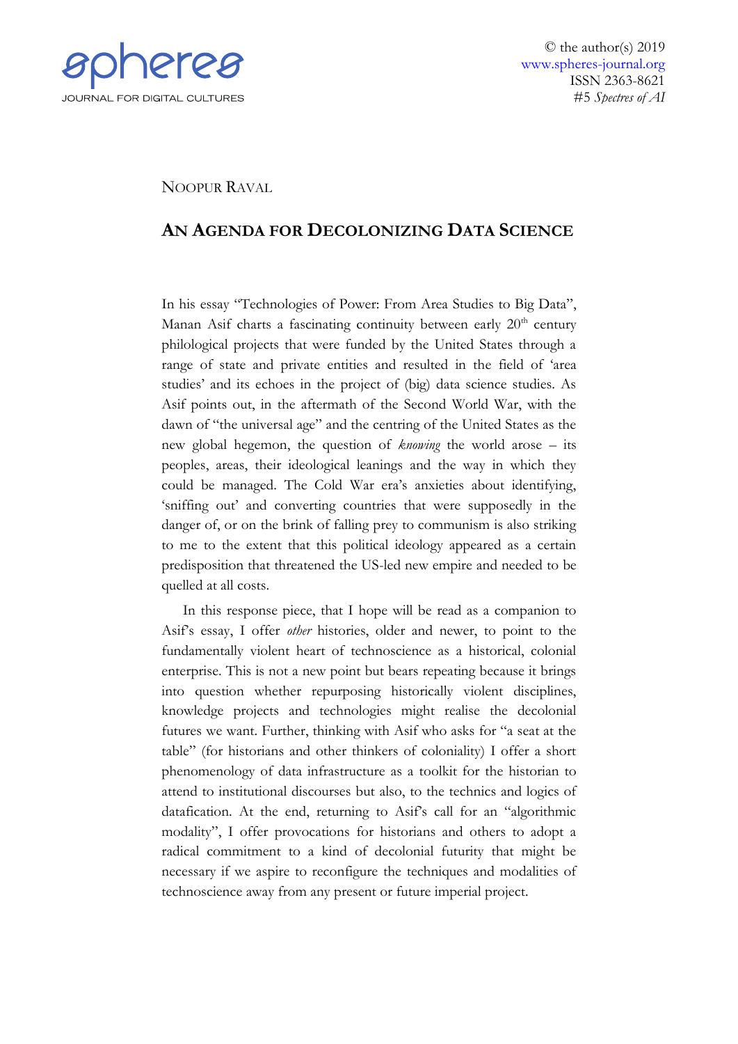

© the author(s) 2019 [www.spheres-journal.org](http://www.spheres-journal.org/) ISSN 2363-8621 #5 *Spectres of AI*

## NOOPUR RAVAL

## **AN AGENDA FOR DECOLONIZING DATA SCIENCE**

In his essay "Technologies of Power: From Area Studies to Big Data", Manan Asif charts a fascinating continuity between early 20<sup>th</sup> century philological projects that were funded by the United States through a range of state and private entities and resulted in the field of 'area studies' and its echoes in the project of (big) data science studies. As Asif points out, in the aftermath of the Second World War, with the dawn of "the universal age" and the centring of the United States as the new global hegemon, the question of *knowing* the world arose – its peoples, areas, their ideological leanings and the way in which they could be managed. The Cold War era's anxieties about identifying, 'sniffing out' and converting countries that were supposedly in the danger of, or on the brink of falling prey to communism is also striking to me to the extent that this political ideology appeared as a certain predisposition that threatened the US-led new empire and needed to be quelled at all costs.

In this response piece, that I hope will be read as a companion to Asif's essay, I offer *other* histories, older and newer, to point to the fundamentally violent heart of technoscience as a historical, colonial enterprise. This is not a new point but bears repeating because it brings into question whether repurposing historically violent disciplines, knowledge projects and technologies might realise the decolonial futures we want. Further, thinking with Asif who asks for "a seat at the table" (for historians and other thinkers of coloniality) I offer a short phenomenology of data infrastructure as a toolkit for the historian to attend to institutional discourses but also, to the technics and logics of datafication. At the end, returning to Asif's call for an "algorithmic modality", I offer provocations for historians and others to adopt a radical commitment to a kind of decolonial futurity that might be necessary if we aspire to reconfigure the techniques and modalities of technoscience away from any present or future imperial project.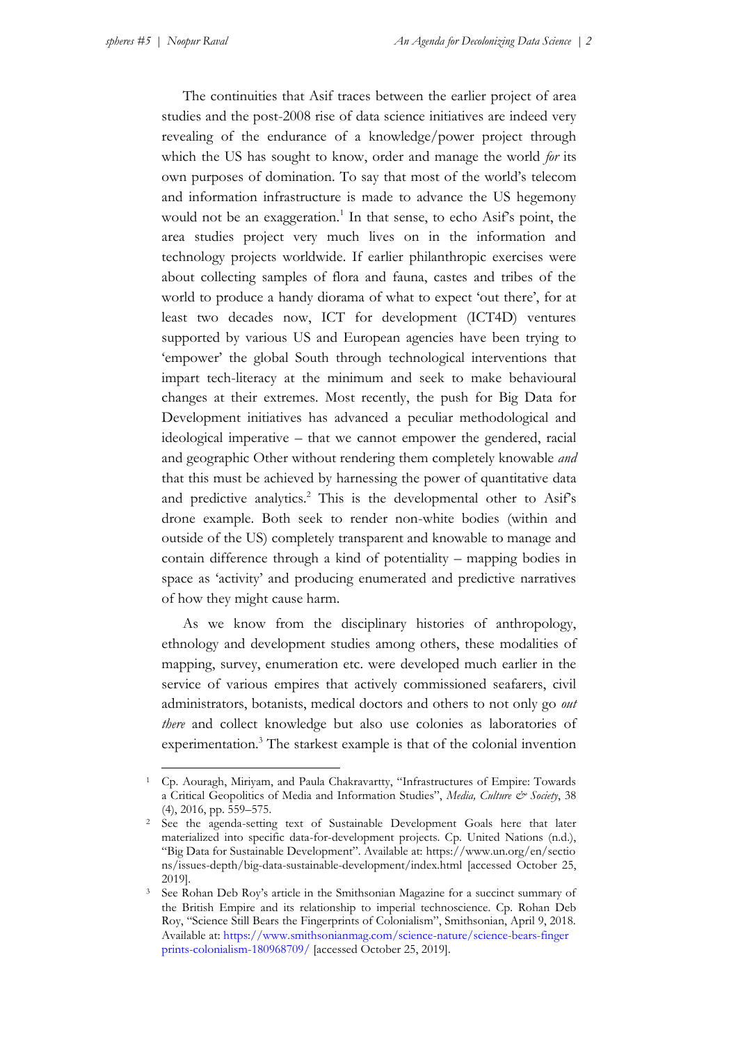The continuities that Asif traces between the earlier project of area studies and the post-2008 rise of data science initiatives are indeed very revealing of the endurance of a knowledge/power project through which the US has sought to know, order and manage the world *for* its own purposes of domination. To say that most of the world's telecom and information infrastructure is made to advance the US hegemony would not be an exaggeration.<sup>1</sup> In that sense, to echo Asif's point, the area studies project very much lives on in the information and technology projects worldwide. If earlier philanthropic exercises were about collecting samples of flora and fauna, castes and tribes of the world to produce a handy diorama of what to expect 'out there', for at least two decades now, ICT for development (ICT4D) ventures supported by various US and European agencies have been trying to 'empower' the global South through technological interventions that impart tech-literacy at the minimum and seek to make behavioural changes at their extremes. Most recently, the push for Big Data for Development initiatives has advanced a peculiar methodological and ideological imperative – that we cannot empower the gendered, racial and geographic Other without rendering them completely knowable *and*  that this must be achieved by harnessing the power of quantitative data and predictive analytics.<sup>2</sup> This is the developmental other to Asif's drone example. Both seek to render non-white bodies (within and outside of the US) completely transparent and knowable to manage and contain difference through a kind of potentiality – mapping bodies in space as 'activity' and producing enumerated and predictive narratives of how they might cause harm.

As we know from the disciplinary histories of anthropology, ethnology and development studies among others, these modalities of mapping, survey, enumeration etc. were developed much earlier in the service of various empires that actively commissioned seafarers, civil administrators, botanists, medical doctors and others to not only go *out there* and collect knowledge but also use colonies as laboratories of experimentation.<sup>3</sup> The starkest example is that of the colonial invention

<sup>1</sup> Cp. Aouragh, Miriyam, and Paula Chakravartty, "Infrastructures of Empire: Towards a Critical Geopolitics of Media and Information Studies", *Media, Culture & Society*, 38 (4), 2016, pp. 559–575.

<sup>2</sup> See the agenda-setting text of Sustainable Development Goals here that later materialized into specific data-for-development projects. Cp. United Nations (n.d.), "Big Data for Sustainable Development". Available at[: https://www.un.org/en/sectio](https://www.un.org/en/sections/issues-depth/big-data-sustainable-development/index.html) ns/issues-depth/big-data-sustainable-[development/index.html](https://www.un.org/en/sections/issues-depth/big-data-sustainable-development/index.html) [accessed October 25, 2019].

<sup>3</sup> See Rohan Deb Roy's article in the Smithsonian Magazine for a succinct summary of the British Empire and its relationship to imperial technoscience. Cp. Rohan Deb Roy, "Science Still Bears the Fingerprints of Colonialism", Smithsonian, April 9, 2018. Available at: [https://www.smithsonianmag.com/science](https://www.smithsonianmag.com/science-nature/science-bears-fingerprints-colonialism-180968709/)-nature/science-bears-finger prints-colonialism-[180968709/](https://www.smithsonianmag.com/science-nature/science-bears-fingerprints-colonialism-180968709/) [accessed October 25, 2019].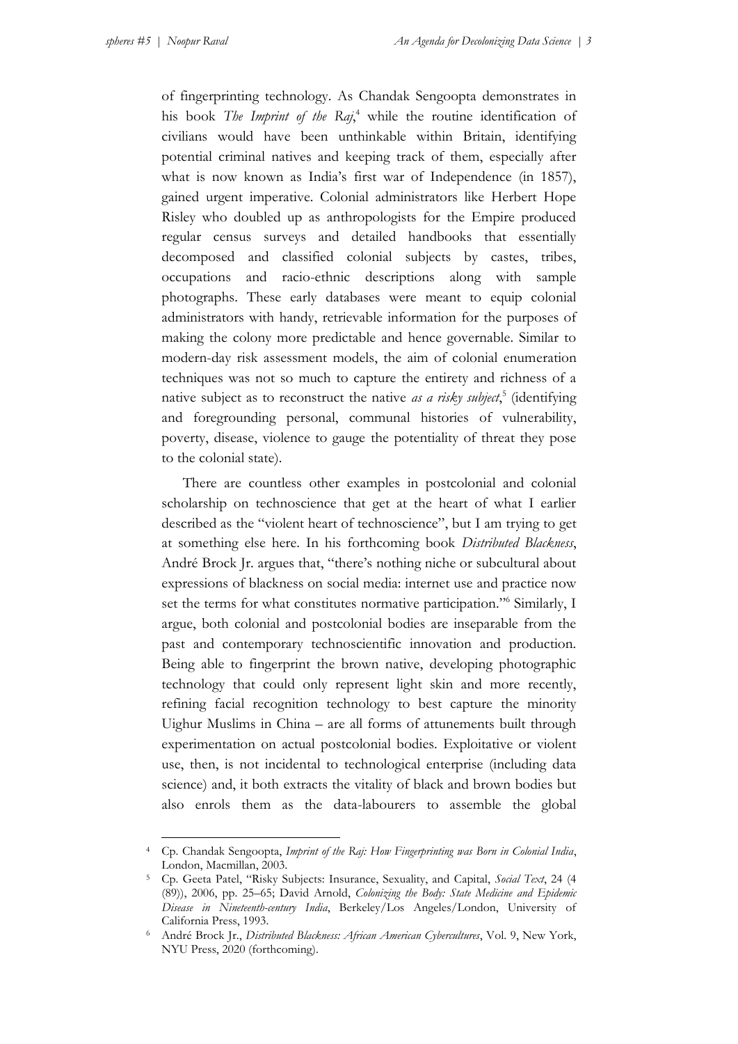of fingerprinting technology. As Chandak Sengoopta demonstrates in his book *The Imprint of the Raj*, <sup>4</sup> while the routine identification of civilians would have been unthinkable within Britain, identifying potential criminal natives and keeping track of them, especially after what is now known as India's first war of Independence (in 1857), gained urgent imperative. Colonial administrators like Herbert Hope Risley who doubled up as anthropologists for the Empire produced regular census surveys and detailed handbooks that essentially decomposed and classified colonial subjects by castes, tribes, occupations and racio-ethnic descriptions along with sample photographs. These early databases were meant to equip colonial administrators with handy, retrievable information for the purposes of making the colony more predictable and hence governable. Similar to modern-day risk assessment models, the aim of colonial enumeration techniques was not so much to capture the entirety and richness of a native subject as to reconstruct the native *as a risky subject*, 5 (identifying and foregrounding personal, communal histories of vulnerability, poverty, disease, violence to gauge the potentiality of threat they pose to the colonial state).

There are countless other examples in postcolonial and colonial scholarship on technoscience that get at the heart of what I earlier described as the "violent heart of technoscience", but I am trying to get at something else here. In his forthcoming book *Distributed Blackness*, André Brock Jr. argues that, "there's nothing niche or subcultural about expressions of blackness on social media: internet use and practice now set the terms for what constitutes normative participation."<sup>6</sup> Similarly, I argue, both colonial and postcolonial bodies are inseparable from the past and contemporary technoscientific innovation and production. Being able to fingerprint the brown native, developing photographic technology that could only represent light skin and more recently, refining facial recognition technology to best capture the minority Uighur Muslims in China – are all forms of attunements built through experimentation on actual postcolonial bodies. Exploitative or violent use, then, is not incidental to technological enterprise (including data science) and, it both extracts the vitality of black and brown bodies but also enrols them as the data-labourers to assemble the global

<sup>4</sup> Cp. Chandak Sengoopta, *Imprint of the Raj: How Fingerprinting was Born in Colonial India*, London, Macmillan, 2003.

<sup>5</sup> Cp. Geeta Patel, "Risky Subjects: Insurance, Sexuality, and Capital, *Social Text*, 24 (4 (89)), 2006, pp. 25–65; David Arnold, *Colonizing the Body: State Medicine and Epidemic Disease in Nineteenth-century India*, Berkeley/Los Angeles/London, University of California Press, 1993.

<sup>6</sup> André Brock Jr., *Distributed Blackness: African American Cybercultures*, Vol. 9, New York, NYU Press, 2020 (forthcoming).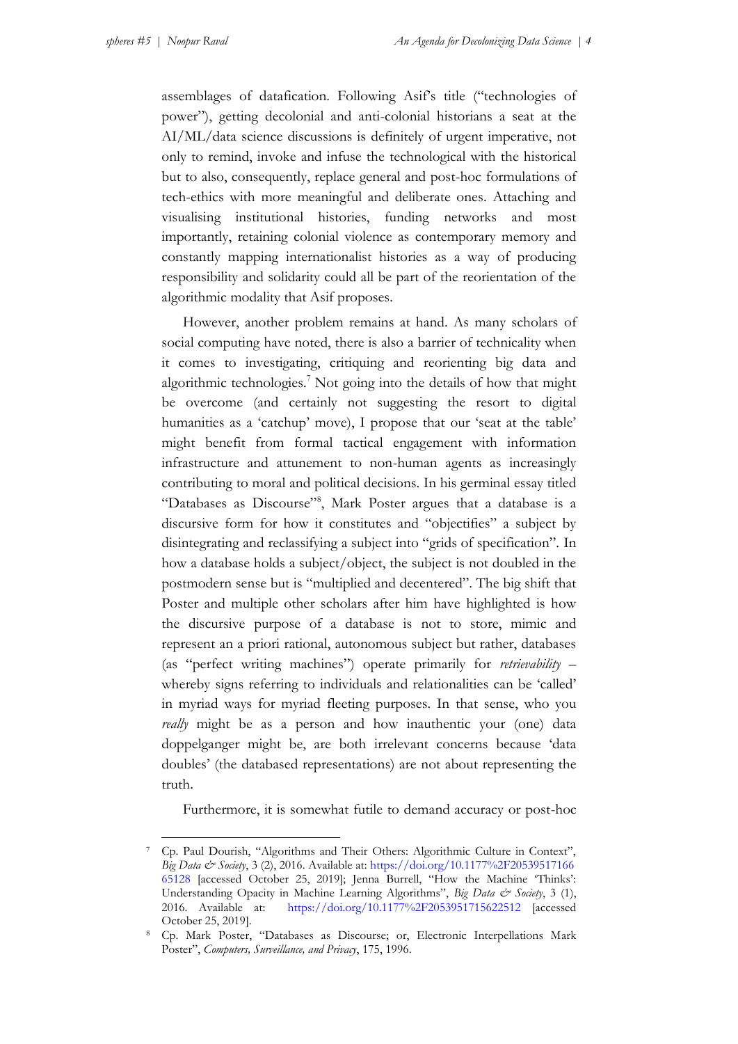assemblages of datafication. Following Asif's title ("technologies of power"), getting decolonial and anti-colonial historians a seat at the AI/ML/data science discussions is definitely of urgent imperative, not only to remind, invoke and infuse the technological with the historical but to also, consequently, replace general and post-hoc formulations of tech-ethics with more meaningful and deliberate ones. Attaching and visualising institutional histories, funding networks and most importantly, retaining colonial violence as contemporary memory and constantly mapping internationalist histories as a way of producing responsibility and solidarity could all be part of the reorientation of the algorithmic modality that Asif proposes.

However, another problem remains at hand. As many scholars of social computing have noted, there is also a barrier of technicality when it comes to investigating, critiquing and reorienting big data and algorithmic technologies.<sup>7</sup> Not going into the details of how that might be overcome (and certainly not suggesting the resort to digital humanities as a 'catchup' move), I propose that our 'seat at the table' might benefit from formal tactical engagement with information infrastructure and attunement to non-human agents as increasingly contributing to moral and political decisions. In his germinal essay titled "Databases as Discourse"<sup>8</sup>, Mark Poster argues that a database is a discursive form for how it constitutes and "objectifies" a subject by disintegrating and reclassifying a subject into "grids of specification". In how a database holds a subject/object, the subject is not doubled in the postmodern sense but is "multiplied and decentered". The big shift that Poster and multiple other scholars after him have highlighted is how the discursive purpose of a database is not to store, mimic and represent an a priori rational, autonomous subject but rather, databases (as "perfect writing machines") operate primarily for *retrievability* – whereby signs referring to individuals and relationalities can be 'called' in myriad ways for myriad fleeting purposes. In that sense, who you *really* might be as a person and how inauthentic your (one) data doppelganger might be, are both irrelevant concerns because 'data doubles' (the databased representations) are not about representing the truth.

Furthermore, it is somewhat futile to demand accuracy or post-hoc

<sup>7</sup> Cp. Paul Dourish, "Algorithms and Their Others: Algorithmic Culture in Context", *Big Data & Society*, 3 (2), 2016. Available at[: https://doi.org/10.1177%2F20539517166](https://doi.org/10.1177%252F2053951716665128) [65128](https://doi.org/10.1177%252F2053951716665128) [accessed October 25, 2019]; Jenna Burrell, "How the Machine 'Thinks': Understanding Opacity in Machine Learning Algorithms", *Big Data & Society*, 3 (1), 2016. Available at: [https://doi.org/10.1177%2F2053951715622512](https://doi.org/10.1177%252F2053951715622512) [accessed October 25, 2019].

<sup>8</sup> Cp. Mark Poster, "Databases as Discourse; or, Electronic Interpellations Mark Poster", *Computers, Surveillance, and Privacy*, 175, 1996.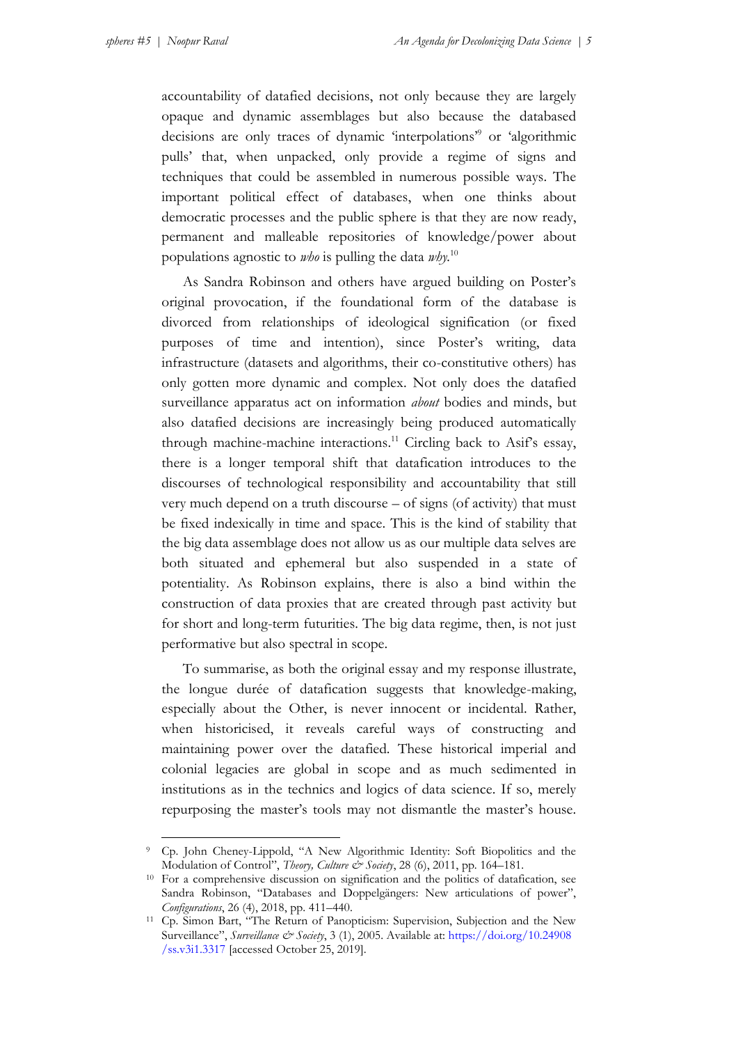accountability of datafied decisions, not only because they are largely opaque and dynamic assemblages but also because the databased decisions are only traces of dynamic 'interpolations'<sup>9</sup> or 'algorithmic pulls' that, when unpacked, only provide a regime of signs and techniques that could be assembled in numerous possible ways. The important political effect of databases, when one thinks about democratic processes and the public sphere is that they are now ready, permanent and malleable repositories of knowledge/power about populations agnostic to *who* is pulling the data *why.*<sup>10</sup>

As Sandra Robinson and others have argued building on Poster's original provocation, if the foundational form of the database is divorced from relationships of ideological signification (or fixed purposes of time and intention), since Poster's writing, data infrastructure (datasets and algorithms, their co-constitutive others) has only gotten more dynamic and complex. Not only does the datafied surveillance apparatus act on information *about* bodies and minds, but also datafied decisions are increasingly being produced automatically through machine-machine interactions.<sup>11</sup> Circling back to Asif's essay, there is a longer temporal shift that datafication introduces to the discourses of technological responsibility and accountability that still very much depend on a truth discourse – of signs (of activity) that must be fixed indexically in time and space. This is the kind of stability that the big data assemblage does not allow us as our multiple data selves are both situated and ephemeral but also suspended in a state of potentiality. As Robinson explains, there is also a bind within the construction of data proxies that are created through past activity but for short and long-term futurities. The big data regime, then, is not just performative but also spectral in scope.

To summarise, as both the original essay and my response illustrate, the longue durée of datafication suggests that knowledge-making, especially about the Other, is never innocent or incidental. Rather, when historicised, it reveals careful ways of constructing and maintaining power over the datafied. These historical imperial and colonial legacies are global in scope and as much sedimented in institutions as in the technics and logics of data science. If so, merely repurposing the master's tools may not dismantle the master's house.

<sup>9</sup> Cp. John Cheney-Lippold, "A New Algorithmic Identity: Soft Biopolitics and the Modulation of Control", *Theory, Culture & Society*, 28 (6), 2011, pp. 164–181.

<sup>&</sup>lt;sup>10</sup> For a comprehensive discussion on signification and the politics of datafication, see Sandra Robinson, "Databases and Doppelgängers: New articulations of power", *Configurations*, 26 (4), 2018, pp. 411–440.

<sup>11</sup> Cp. Simon Bart, "The Return of Panopticism: Supervision, Subjection and the New Surveillance", *Surveillance & Society*, 3 (1), 2005. Available at: [https://doi.org/10.24908](https://doi.org/10.24908/ss.v3i1.3317) [/ss.v3i1.3317](https://doi.org/10.24908/ss.v3i1.3317) [accessed October 25, 2019].